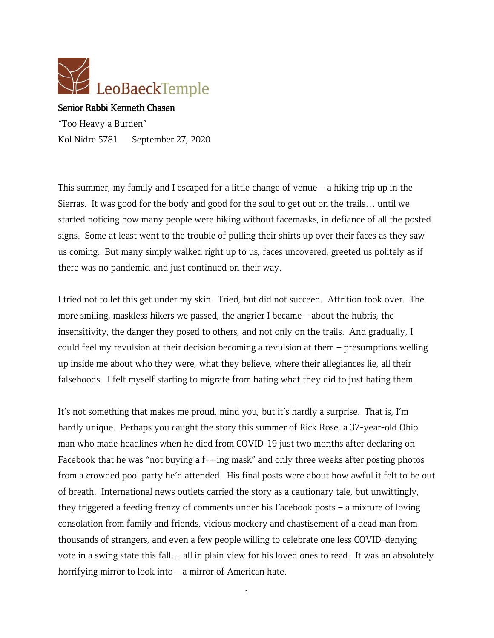

## Senior Rabbi Kenneth Chasen

"Too Heavy a Burden" Kol Nidre 5781 September 27, 2020

This summer, my family and I escaped for a little change of venue – a hiking trip up in the Sierras. It was good for the body and good for the soul to get out on the trails… until we started noticing how many people were hiking without facemasks, in defiance of all the posted signs. Some at least went to the trouble of pulling their shirts up over their faces as they saw us coming. But many simply walked right up to us, faces uncovered, greeted us politely as if there was no pandemic, and just continued on their way.

I tried not to let this get under my skin. Tried, but did not succeed. Attrition took over. The more smiling, maskless hikers we passed, the angrier I became – about the hubris, the insensitivity, the danger they posed to others, and not only on the trails. And gradually, I could feel my revulsion at their decision becoming a revulsion at them – presumptions welling up inside me about who they were, what they believe, where their allegiances lie, all their falsehoods. I felt myself starting to migrate from hating what they did to just hating them.

It's not something that makes me proud, mind you, but it's hardly a surprise. That is, I'm hardly unique. Perhaps you caught the story this summer of Rick Rose, a 37-year-old Ohio man who made headlines when he died from COVID-19 just two months after declaring on Facebook that he was "not buying a f---ing mask" and only three weeks after posting photos from a crowded pool party he'd attended. His final posts were about how awful it felt to be out of breath. International news outlets carried the story as a cautionary tale, but unwittingly, they triggered a feeding frenzy of comments under his Facebook posts – a mixture of loving consolation from family and friends, vicious mockery and chastisement of a dead man from thousands of strangers, and even a few people willing to celebrate one less COVID-denying vote in a swing state this fall… all in plain view for his loved ones to read. It was an absolutely horrifying mirror to look into – a mirror of American hate.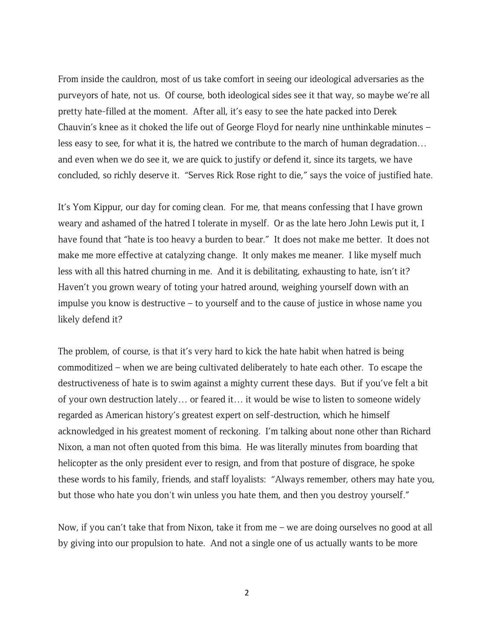From inside the cauldron, most of us take comfort in seeing our ideological adversaries as the purveyors of hate, not us. Of course, both ideological sides see it that way, so maybe we're all pretty hate-filled at the moment. After all, it's easy to see the hate packed into Derek Chauvin's knee as it choked the life out of George Floyd for nearly nine unthinkable minutes – less easy to see, for what it is, the hatred we contribute to the march of human degradation… and even when we do see it, we are quick to justify or defend it, since its targets, we have concluded, so richly deserve it. "Serves Rick Rose right to die," says the voice of justified hate.

It's Yom Kippur, our day for coming clean. For me, that means confessing that I have grown weary and ashamed of the hatred I tolerate in myself. Or as the late hero John Lewis put it, I have found that "hate is too heavy a burden to bear." It does not make me better. It does not make me more effective at catalyzing change. It only makes me meaner. I like myself much less with all this hatred churning in me. And it is debilitating, exhausting to hate, isn't it? Haven't you grown weary of toting your hatred around, weighing yourself down with an impulse you know is destructive – to yourself and to the cause of justice in whose name you likely defend it?

The problem, of course, is that it's very hard to kick the hate habit when hatred is being commoditized – when we are being cultivated deliberately to hate each other. To escape the destructiveness of hate is to swim against a mighty current these days. But if you've felt a bit of your own destruction lately… or feared it… it would be wise to listen to someone widely regarded as American history's greatest expert on self-destruction, which he himself acknowledged in his greatest moment of reckoning. I'm talking about none other than Richard Nixon, a man not often quoted from this bima. He was literally minutes from boarding that helicopter as the only president ever to resign, and from that posture of disgrace, he spoke these words to his family, friends, and staff loyalists: "Always remember, others may hate you, but those who hate you don't win unless you hate them, and then you destroy yourself."

Now, if you can't take that from Nixon, take it from me – we are doing ourselves no good at all by giving into our propulsion to hate. And not a single one of us actually wants to be more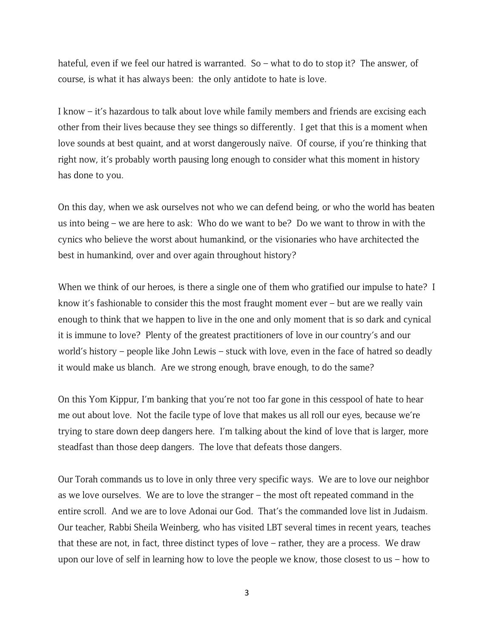hateful, even if we feel our hatred is warranted. So – what to do to stop it? The answer, of course, is what it has always been: the only antidote to hate is love.

I know – it's hazardous to talk about love while family members and friends are excising each other from their lives because they see things so differently. I get that this is a moment when love sounds at best quaint, and at worst dangerously naïve. Of course, if you're thinking that right now, it's probably worth pausing long enough to consider what this moment in history has done to you.

On this day, when we ask ourselves not who we can defend being, or who the world has beaten us into being – we are here to ask: Who do we want to be? Do we want to throw in with the cynics who believe the worst about humankind, or the visionaries who have architected the best in humankind, over and over again throughout history?

When we think of our heroes, is there a single one of them who gratified our impulse to hate? I know it's fashionable to consider this the most fraught moment ever – but are we really vain enough to think that we happen to live in the one and only moment that is so dark and cynical it is immune to love? Plenty of the greatest practitioners of love in our country's and our world's history – people like John Lewis – stuck with love, even in the face of hatred so deadly it would make us blanch. Are we strong enough, brave enough, to do the same?

On this Yom Kippur, I'm banking that you're not too far gone in this cesspool of hate to hear me out about love. Not the facile type of love that makes us all roll our eyes, because we're trying to stare down deep dangers here. I'm talking about the kind of love that is larger, more steadfast than those deep dangers. The love that defeats those dangers.

Our Torah commands us to love in only three very specific ways. We are to love our neighbor as we love ourselves. We are to love the stranger – the most oft repeated command in the entire scroll. And we are to love Adonai our God. That's the commanded love list in Judaism. Our teacher, Rabbi Sheila Weinberg, who has visited LBT several times in recent years, teaches that these are not, in fact, three distinct types of love – rather, they are a process. We draw upon our love of self in learning how to love the people we know, those closest to us – how to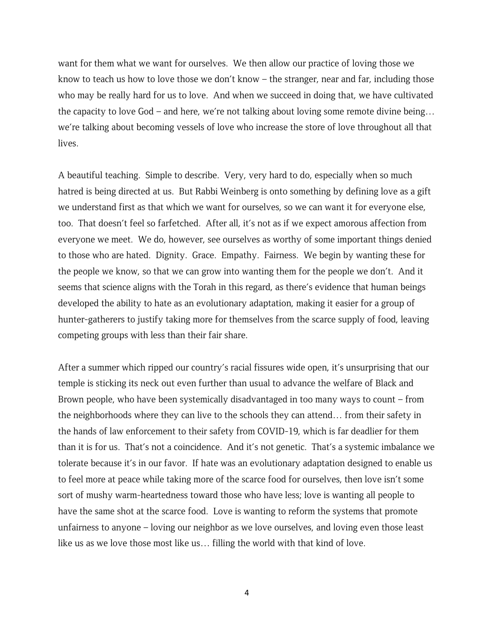want for them what we want for ourselves. We then allow our practice of loving those we know to teach us how to love those we don't know – the stranger, near and far, including those who may be really hard for us to love. And when we succeed in doing that, we have cultivated the capacity to love God – and here, we're not talking about loving some remote divine being… we're talking about becoming vessels of love who increase the store of love throughout all that lives.

A beautiful teaching. Simple to describe. Very, very hard to do, especially when so much hatred is being directed at us. But Rabbi Weinberg is onto something by defining love as a gift we understand first as that which we want for ourselves, so we can want it for everyone else, too. That doesn't feel so farfetched. After all, it's not as if we expect amorous affection from everyone we meet. We do, however, see ourselves as worthy of some important things denied to those who are hated. Dignity. Grace. Empathy. Fairness. We begin by wanting these for the people we know, so that we can grow into wanting them for the people we don't. And it seems that science aligns with the Torah in this regard, as there's evidence that human beings developed the ability to hate as an evolutionary adaptation, making it easier for a group of hunter-gatherers to justify taking more for themselves from the scarce supply of food, leaving competing groups with less than their fair share.

After a summer which ripped our country's racial fissures wide open, it's unsurprising that our temple is sticking its neck out even further than usual to advance the welfare of Black and Brown people, who have been systemically disadvantaged in too many ways to count – from the neighborhoods where they can live to the schools they can attend… from their safety in the hands of law enforcement to their safety from COVID-19, which is far deadlier for them than it is for us. That's not a coincidence. And it's not genetic. That's a systemic imbalance we tolerate because it's in our favor. If hate was an evolutionary adaptation designed to enable us to feel more at peace while taking more of the scarce food for ourselves, then love isn't some sort of mushy warm-heartedness toward those who have less; love is wanting all people to have the same shot at the scarce food. Love is wanting to reform the systems that promote unfairness to anyone – loving our neighbor as we love ourselves, and loving even those least like us as we love those most like us… filling the world with that kind of love.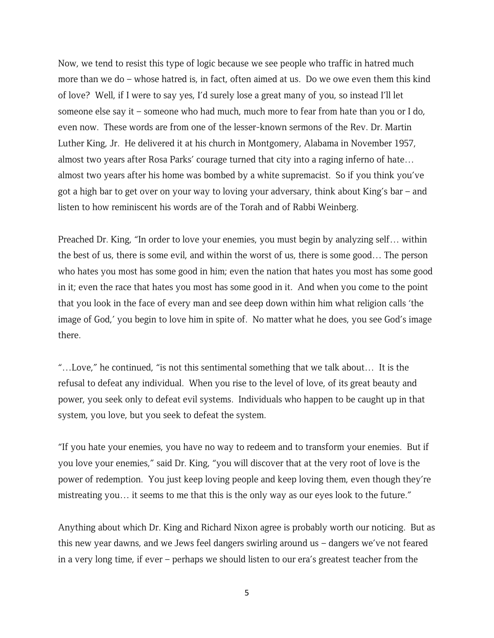Now, we tend to resist this type of logic because we see people who traffic in hatred much more than we do – whose hatred is, in fact, often aimed at us. Do we owe even them this kind of love? Well, if I were to say yes, I'd surely lose a great many of you, so instead I'll let someone else say it – someone who had much, much more to fear from hate than you or I do, even now. These words are from one of the lesser-known sermons of the Rev. Dr. Martin Luther King, Jr. He delivered it at his church in Montgomery, Alabama in November 1957, almost two years after Rosa Parks' courage turned that city into a raging inferno of hate… almost two years after his home was bombed by a white supremacist. So if you think you've got a high bar to get over on your way to loving your adversary, think about King's bar – and listen to how reminiscent his words are of the Torah and of Rabbi Weinberg.

Preached Dr. King, "In order to love your enemies, you must begin by analyzing self… within the best of us, there is some evil, and within the worst of us, there is some good… The person who hates you most has some good in him; even the nation that hates you most has some good in it; even the race that hates you most has some good in it. And when you come to the point that you look in the face of every man and see deep down within him what religion calls 'the image of God,' you begin to love him in spite of. No matter what he does, you see God's image there.

"…Love," he continued, "is not this sentimental something that we talk about… It is the refusal to defeat any individual. When you rise to the level of love, of its great beauty and power, you seek only to defeat evil systems. Individuals who happen to be caught up in that system, you love, but you seek to defeat the system.

"If you hate your enemies, you have no way to redeem and to transform your enemies. But if you love your enemies," said Dr. King, "you will discover that at the very root of love is the power of redemption. You just keep loving people and keep loving them, even though they're mistreating you… it seems to me that this is the only way as our eyes look to the future."

Anything about which Dr. King and Richard Nixon agree is probably worth our noticing. But as this new year dawns, and we Jews feel dangers swirling around us – dangers we've not feared in a very long time, if ever – perhaps we should listen to our era's greatest teacher from the